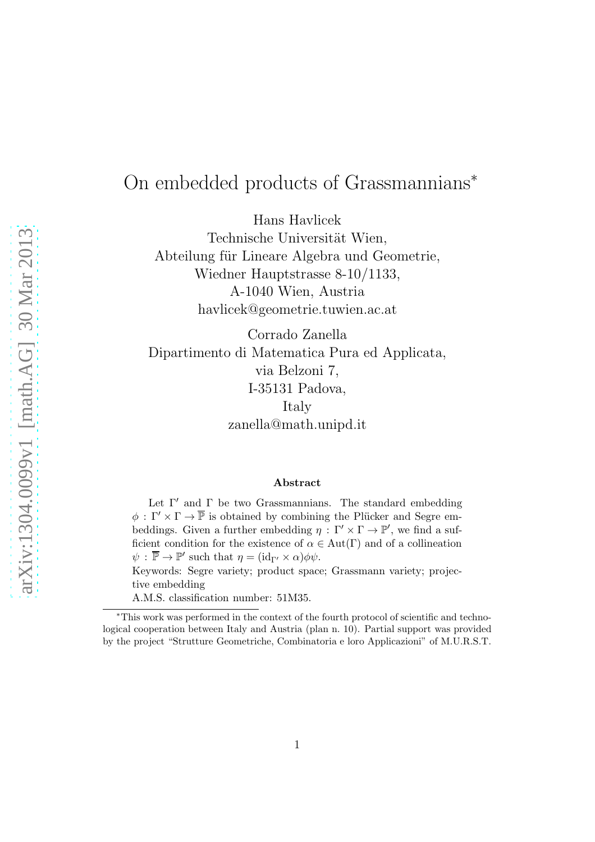# On embedded products of Grassmannians<sup>∗</sup>

Hans Havlicek

Technische Universität Wien, Abteilung für Lineare Algebra und Geometrie, Wiedner Hauptstrasse 8-10/1133, A-1040 Wien, Austria havlicek@geometrie.tuwien.ac.at

Corrado Zanella Dipartimento di Matematica Pura ed Applicata, via Belzoni 7, I-35131 Padova, Italy zanella@math.unipd.it

#### Abstract

Let  $\Gamma'$  and  $\Gamma$  be two Grassmannians. The standard embedding  $\phi : \Gamma' \times \Gamma \to \overline{\mathbb{P}}$  is obtained by combining the Plücker and Segre embeddings. Given a further embedding  $\eta : \Gamma' \times \Gamma \to \mathbb{P}'$ , we find a sufficient condition for the existence of  $\alpha \in Aut(\Gamma)$  and of a collineation  $\psi$ :  $\overline{\mathbb{P}} \to \mathbb{P}'$  such that  $\eta = (\mathrm{id}_{\Gamma'} \times \alpha) \phi \psi$ .

Keywords: Segre variety; product space; Grassmann variety; projective embedding

A.M.S. classification number: 51M35.

<sup>∗</sup>This work was performed in the context of the fourth protocol of scientific and technological cooperation between Italy and Austria (plan n. 10). Partial support was provided by the project "Strutture Geometriche, Combinatoria e loro Applicazioni" of M.U.R.S.T.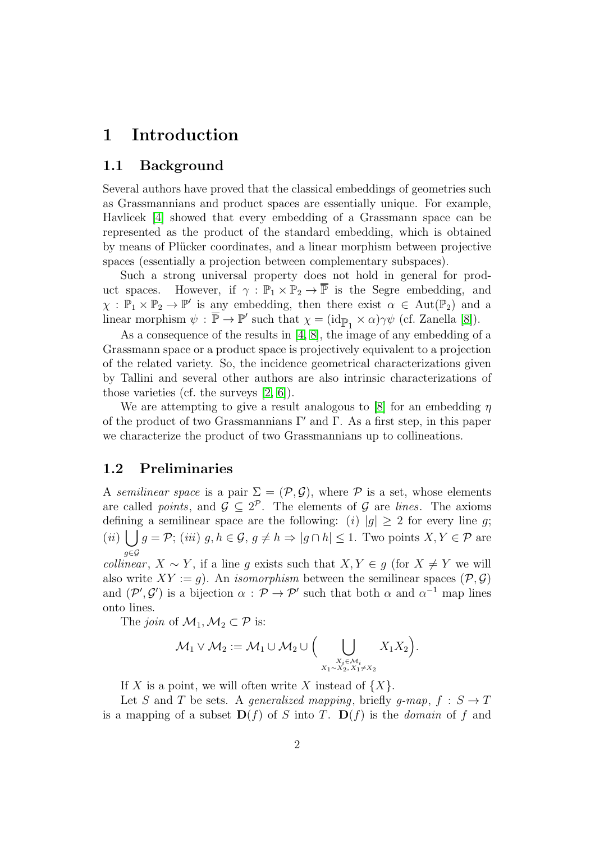## 1 Introduction

### 1.1 Background

Several authors have proved that the classical embeddings of geometries such as Grassmannians and product spaces are essentially unique. For example, Havlicek [\[4\]](#page-6-0) showed that every embedding of a Grassmann space can be represented as the product of the standard embedding, which is obtained by means of Plücker coordinates, and a linear morphism between projective spaces (essentially a projection between complementary subspaces).

Such a strong universal property does not hold in general for product spaces. However, if  $\gamma : \mathbb{P}_1 \times \mathbb{P}_2 \to \overline{\mathbb{P}}$  is the Segre embedding, and  $\chi : \mathbb{P}_1 \times \mathbb{P}_2 \to \mathbb{P}'$  is any embedding, then there exist  $\alpha \in Aut(\mathbb{P}_2)$  and a linear morphism  $\psi : \overline{\mathbb{P}} \to \mathbb{P}'$  such that  $\chi = (\mathrm{id}_{\overline{\mathbb{P}}_1} \times \alpha)\gamma\psi$  (cf. Zanella [\[8\]](#page-6-1)).

As a consequence of the results in [\[4,](#page-6-0) [8\]](#page-6-1), the image of any embedding of a Grassmann space or a product space is projectively equivalent to a projection of the related variety. So, the incidence geometrical characterizations given by Tallini and several other authors are also intrinsic characterizations of those varieties (cf. the surveys [\[2,](#page-6-2) [6\]](#page-6-3)).

We are attempting to give a result analogous to [\[8\]](#page-6-1) for an embedding  $\eta$ of the product of two Grassmannians  $\Gamma'$  and  $\Gamma$ . As a first step, in this paper we characterize the product of two Grassmannians up to collineations.

#### 1.2 Preliminaries

A semilinear space is a pair  $\Sigma = (\mathcal{P}, \mathcal{G})$ , where  $\mathcal P$  is a set, whose elements are called *points*, and  $\mathcal{G} \subseteq 2^{\mathcal{P}}$ . The elements of  $\mathcal{G}$  are *lines*. The axioms defining a semilinear space are the following: (i)  $|g| \geq 2$  for every line g; (ii)  $\bigcup g = \mathcal{P}$ ; (iii)  $g, h \in \mathcal{G}, g \neq h \Rightarrow |g \cap h| \leq 1$ . Two points  $X, Y \in \mathcal{P}$  are g∈G

*collinear*,  $X \sim Y$ , if a line q exists such that  $X, Y \in q$  (for  $X \neq Y$  we will also write  $XY := q$ ). An *isomorphism* between the semilinear spaces  $(\mathcal{P}, \mathcal{G})$ and  $(\mathcal{P}', \mathcal{G}')$  is a bijection  $\alpha : \mathcal{P} \to \mathcal{P}'$  such that both  $\alpha$  and  $\alpha^{-1}$  map lines onto lines.

The *join* of  $\mathcal{M}_1, \mathcal{M}_2 \subset \mathcal{P}$  is:

$$
\mathcal{M}_1 \vee \mathcal{M}_2 := \mathcal{M}_1 \cup \mathcal{M}_2 \cup \Big( \bigcup_{\substack{X_i \in \mathcal{M}_i \\ X_1 \sim X_2, X_1 \neq X_2}} X_1 X_2 \Big).
$$

If X is a point, we will often write X instead of  $\{X\}$ .

Let S and T be sets. A generalized mapping, briefly g-map,  $f : S \to T$ is a mapping of a subset  $\mathbf{D}(f)$  of S into T.  $\mathbf{D}(f)$  is the *domain* of f and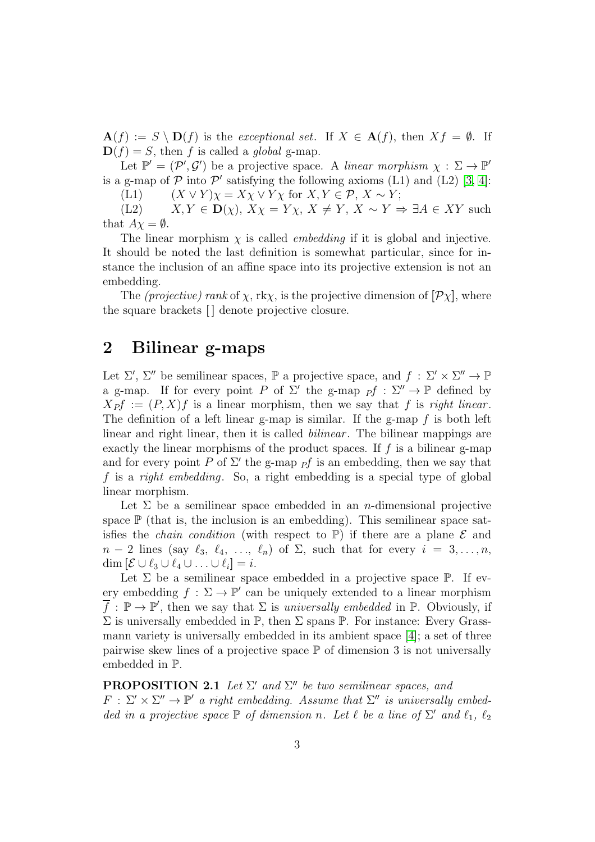$\mathbf{A}(f) := S \setminus \mathbf{D}(f)$  is the exceptional set. If  $X \in \mathbf{A}(f)$ , then  $Xf = \emptyset$ . If  $\mathbf{D}(f) = S$ , then f is called a global g-map.

Let  $\mathbb{P}' = (\mathcal{P}', \mathcal{G}')$  be a projective space. A linear morphism  $\chi : \Sigma \to \mathbb{P}'$ is a g-map of  $P$  into  $P'$  satisfying the following axioms (L1) and (L2) [\[3,](#page-6-4) [4\]](#page-6-0):

(L1)  $(X \vee Y) \chi = X \chi \vee Y \chi$  for  $X, Y \in \mathcal{P}, X \sim Y$ ;

(L2)  $X, Y \in \mathbf{D}(\chi), X\chi = Y\chi, X \neq Y, X \sim Y \Rightarrow \exists A \in XY$  such that  $A\chi = \emptyset$ .

The linear morphism  $\chi$  is called *embedding* if it is global and injective. It should be noted the last definition is somewhat particular, since for instance the inclusion of an affine space into its projective extension is not an embedding.

The (projective) rank of  $\chi$ , rk $\chi$ , is the projective dimension of  $[\mathcal{P}\chi]$ , where the square brackets  $\lfloor \cdot \rfloor$  denote projective closure.

## 2 Bilinear g-maps

Let  $\Sigma'$ ,  $\Sigma''$  be semilinear spaces,  $\mathbb P$  a projective space, and  $f : \Sigma' \times \Sigma'' \to \mathbb P$ a g-map. If for every point P of  $\Sigma'$  the g-map  $\overrightarrow{P}$  :  $\Sigma'' \to \mathbb{P}$  defined by  $X_{P}f := (P, X)f$  is a linear morphism, then we say that f is right linear. The definition of a left linear g-map is similar. If the g-map  $f$  is both left linear and right linear, then it is called *bilinear*. The bilinear mappings are exactly the linear morphisms of the product spaces. If  $f$  is a bilinear g-map and for every point P of  $\Sigma'$  the g-map  $\overline{Pf}$  is an embedding, then we say that f is a right embedding. So, a right embedding is a special type of global linear morphism.

Let  $\Sigma$  be a semilinear space embedded in an *n*-dimensional projective space  $\mathbb P$  (that is, the inclusion is an embedding). This semilinear space satisfies the *chain condition* (with respect to  $\mathbb{P}$ ) if there are a plane  $\mathcal E$  and  $n-2$  lines (say  $\ell_3, \ell_4, \ldots, \ell_n$ ) of  $\Sigma$ , such that for every  $i = 3, \ldots, n$ , dim  $[\mathcal{E} \cup \ell_3 \cup \ell_4 \cup \ldots \cup \ell_i] = i$ .

Let  $\Sigma$  be a semilinear space embedded in a projective space  $\mathbb{P}$ . If every embedding  $f : \Sigma \to \mathbb{P}'$  can be uniquely extended to a linear morphism  $\overline{f}: \mathbb{P} \to \mathbb{P}'$ , then we say that  $\Sigma$  is universally embedded in  $\mathbb{P}$ . Obviously, if  $\Sigma$  is universally embedded in  $\mathbb{P}$ , then  $\Sigma$  spans  $\mathbb{P}$ . For instance: Every Grassmann variety is universally embedded in its ambient space [\[4\]](#page-6-0); a set of three pairwise skew lines of a projective space  $\mathbb P$  of dimension 3 is not universally embedded in P.

### <span id="page-2-0"></span>**PROPOSITION 2.1** Let  $\Sigma'$  and  $\Sigma''$  be two semilinear spaces, and

 $F: \Sigma' \times \Sigma'' \to \mathbb{P}'$  a right embedding. Assume that  $\Sigma''$  is universally embedded in a projective space  $\mathbb P$  of dimension n. Let  $\ell$  be a line of  $\Sigma'$  and  $\ell_1$ ,  $\ell_2$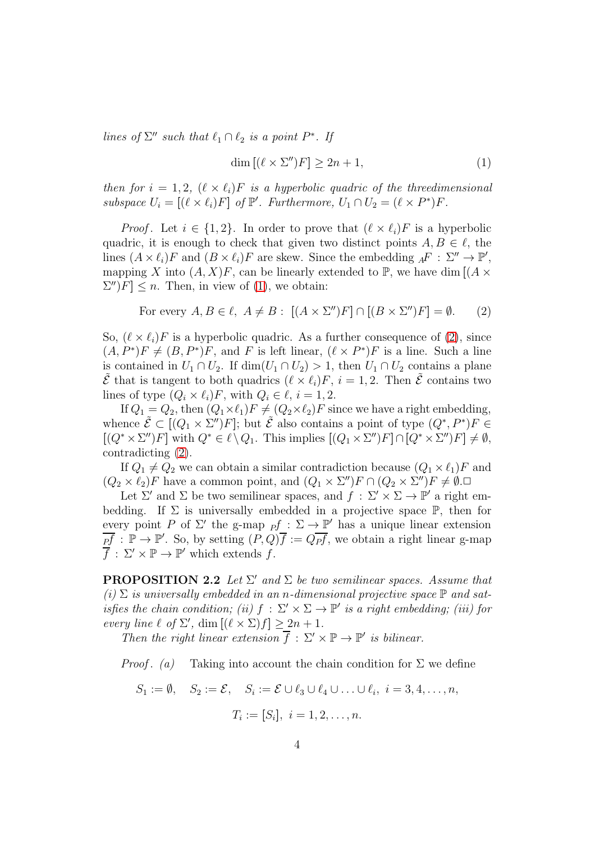lines of  $\Sigma''$  such that  $\ell_1 \cap \ell_2$  is a point  $P^*$ . If

<span id="page-3-0"></span>
$$
\dim\left[\left(\ell\times\Sigma''\right)F\right]\geq 2n+1,\tag{1}
$$

then for  $i = 1, 2, (\ell \times \ell_i)F$  is a hyperbolic quadric of the threedimensional subspace  $U_i = [(\ell \times \ell_i)F]$  of  $\mathbb{P}'$ . Furthermore,  $U_1 \cap U_2 = (\ell \times P^*)F$ .

*Proof.* Let  $i \in \{1,2\}$ . In order to prove that  $(\ell \times \ell_i)F$  is a hyperbolic quadric, it is enough to check that given two distinct points  $A, B \in \ell$ , the lines  $(A \times \ell_i)F$  and  $(B \times \ell_i)F$  are skew. Since the embedding  ${}_{A}F : \Sigma'' \to \mathbb{P}',$ mapping X into  $(A, X)F$ , can be linearly extended to P, we have dim  $[(A \times$  $[\Sigma'']F] \leq n$ . Then, in view of [\(1\)](#page-3-0), we obtain:

<span id="page-3-1"></span>For every 
$$
A, B \in \ell
$$
,  $A \neq B$ :  $[(A \times \Sigma'')F] \cap [(B \times \Sigma'')F] = \emptyset$ . (2)

So,  $(\ell \times \ell_i)F$  is a hyperbolic quadric. As a further consequence of [\(2\)](#page-3-1), since  $(A, P^*)F \neq (B, P^*)F$ , and F is left linear,  $(\ell \times P^*)F$  is a line. Such a line is contained in  $U_1 \cap U_2$ . If  $\dim(U_1 \cap U_2) > 1$ , then  $U_1 \cap U_2$  contains a plane  $\tilde{\mathcal{E}}$  that is tangent to both quadrics  $(\ell \times \ell_i)F$ ,  $i = 1, 2$ . Then  $\tilde{\mathcal{E}}$  contains two lines of type  $(Q_i \times \ell_i)F$ , with  $Q_i \in \ell$ ,  $i = 1, 2$ .

If  $Q_1 = Q_2$ , then  $(Q_1 \times \ell_1)F \neq (Q_2 \times \ell_2)F$  since we have a right embedding, whence  $\tilde{\mathcal{E}} \subset [(Q_1 \times \Sigma'')F]$ ; but  $\tilde{\mathcal{E}}$  also contains a point of type  $(Q^*, P^*)F \in$  $[(Q^* \times \Sigma'')F]$  with  $Q^* \in \ell \setminus Q_1$ . This implies  $[(Q_1 \times \Sigma'')F] \cap [Q^* \times \Sigma'')F] \neq \emptyset$ , contradicting [\(2\)](#page-3-1).

If  $Q_1 \neq Q_2$  we can obtain a similar contradiction because  $(Q_1 \times \ell_1)F$  and  $(Q_2 \times \ell_2)F$  have a common point, and  $(Q_1 \times \Sigma'')F \cap (Q_2 \times \Sigma'')F \neq \emptyset$ .

Let  $\Sigma'$  and  $\Sigma$  be two semilinear spaces, and  $f : \Sigma' \times \Sigma \to \mathbb{P}'$  a right embedding. If  $\Sigma$  is universally embedded in a projective space  $\mathbb{P}$ , then for every point P of  $\Sigma'$  the g-map  $_{P}f : \Sigma \to \mathbb{P}'$  has a unique linear extension  $\overline{pf}$ :  $\mathbb{P} \to \mathbb{P}'$ . So, by setting  $(P,Q)\overline{f} := Q\overline{pf}$ , we obtain a right linear g-map  $\overline{f}: \Sigma' \times \mathbb{P} \to \mathbb{P}'$  which extends f.

<span id="page-3-2"></span>**PROPOSITION 2.2** Let  $\Sigma'$  and  $\Sigma$  be two semilinear spaces. Assume that (i)  $\Sigma$  is universally embedded in an n-dimensional projective space  $\mathbb P$  and satisfies the chain condition; (ii)  $f : \Sigma' \times \Sigma \to \mathbb{P}'$  is a right embedding; (iii) for every line  $\ell$  of  $\Sigma'$ , dim  $[(\ell \times \Sigma)f] \geq 2n + 1$ .

Then the right linear extension  $\overline{f}: \Sigma' \times \mathbb{P} \to \mathbb{P}'$  is bilinear.

*Proof.* (a) Taking into account the chain condition for  $\Sigma$  we define

$$
S_1 := \emptyset, \quad S_2 := \mathcal{E}, \quad S_i := \mathcal{E} \cup \ell_3 \cup \ell_4 \cup \ldots \cup \ell_i, \quad i = 3, 4, \ldots, n,
$$

$$
T_i := [S_i], \ i = 1, 2, \dots, n.
$$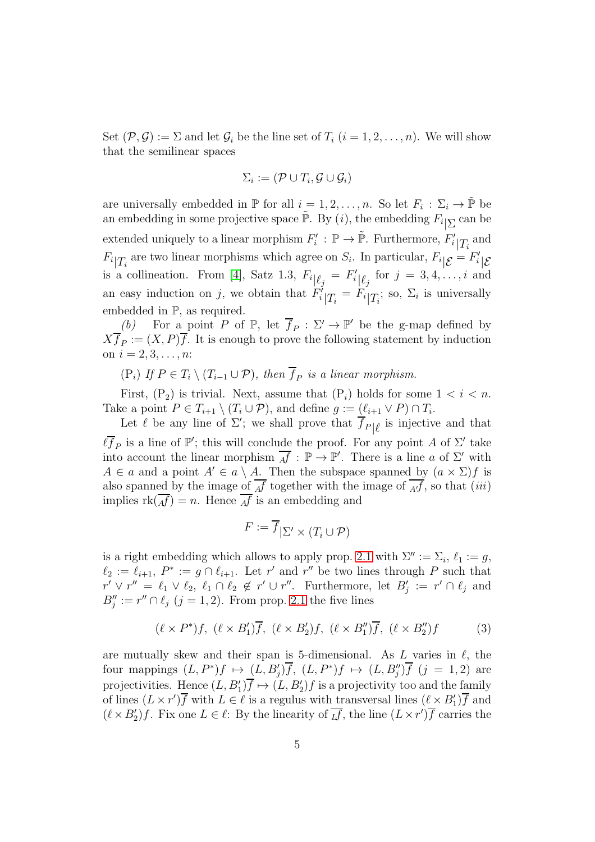Set  $(\mathcal{P}, \mathcal{G}) := \Sigma$  and let  $\mathcal{G}_i$  be the line set of  $T_i$   $(i = 1, 2, \ldots, n)$ . We will show that the semilinear spaces

$$
\Sigma_i := (\mathcal{P} \cup T_i, \mathcal{G} \cup \mathcal{G}_i)
$$

are universally embedded in  $\mathbb P$  for all  $i = 1, 2, \ldots, n$ . So let  $F_i : \Sigma_i \to \tilde{\mathbb P}$  be an embedding in some projective space  $\tilde{\mathbb{P}}$ . By  $(i)$ , the embedding  $F_i|_{\sum}$  can be extended uniquely to a linear morphism  $F'_i$ :  $\mathbb{P} \to \tilde{\mathbb{P}}$ . Furthermore,  $F'_i|_{T_i}$  and  $F_i|_{T_i}$  are two linear morphisms which agree on  $S_i$ . In particular,  $F_i|_{\mathcal{E}} = F'_i|_{\mathcal{E}}$ is a collineation. From [\[4\]](#page-6-0), Satz 1.3,  $F_i|_{\ell_j} = F'_i|_{\ell_j}$  for  $j = 3, 4, \ldots, i$  and an easy induction on j, we obtain that  $F_i^j|_{T_i} = F_i|_{T_i}$ ; so,  $\Sigma_i$  is universally embedded in P, as required.

(b) For a point P of  $\mathbb{P}$ , let  $\overline{f}_P : \Sigma' \to \mathbb{P}'$  be the g-map defined by  $Xf_P := (X, P)f$ . It is enough to prove the following statement by induction on  $i = 2, 3, \ldots, n$ :

 $(P_i)$  If  $P \in T_i \setminus (T_{i-1} \cup P)$ , then  $f_P$  is a linear morphism.

First,  $(P_2)$  is trivial. Next, assume that  $(P_i)$  holds for some  $1 < i < n$ . Take a point  $P \in T_{i+1} \setminus (T_i \cup P)$ , and define  $g := (\ell_{i+1} \vee P) \cap T_i$ .

Let  $\ell$  be any line of  $\Sigma'$ ; we shall prove that  $\overline{f}_{P|\ell}$  is injective and that  $\ell \bar{f}_P$  is a line of  $\mathbb{P}'$ ; this will conclude the proof. For any point A of  $\Sigma'$  take into account the linear morphism  $\overline{Af} : \mathbb{P} \to \mathbb{P}'$ . There is a line a of  $\Sigma'$  with  $A \in a$  and a point  $A' \in a \setminus A$ . Then the subspace spanned by  $(a \times \Sigma) f$  is also spanned by the image of  $\overline{Af}$  together with the image of  $\overline{Af}$ , so that (iii) implies  $rk(\overline{Af})=n$ . Hence  $\overline{Af}$  is an embedding and

$$
F := \overline{f}|_{\Sigma'} \times (T_i \cup \mathcal{P})
$$

is a right embedding which allows to apply prop. [2.1](#page-2-0) with  $\Sigma'' := \Sigma_i$ ,  $\ell_1 := g$ ,  $\ell_2 := \ell_{i+1}, P^* := g \cap \ell_{i+1}.$  Let r' and r'' be two lines through P such that  $r' \vee r'' = \ell_1 \vee \ell_2, \ell_1 \cap \ell_2 \notin r' \cup r''$ . Furthermore, let  $B'_j := r' \cap \ell_j$  and  $B''_j := r'' \cap \ell_j \ (j = 1, 2)$ . From prop. [2.1](#page-2-0) the five lines

<span id="page-4-0"></span>
$$
(\ell \times P^*)f, \ (\ell \times B'_1)\overline{f}, \ (\ell \times B'_2)f, \ (\ell \times B''_1)\overline{f}, \ (\ell \times B''_2)f \tag{3}
$$

are mutually skew and their span is 5-dimensional. As  $L$  varies in  $\ell$ , the four mappings  $(L, P^*)f \mapsto (L, B'_j)\overline{f}$ ,  $(L, P^*)f \mapsto (L, B''_j)\overline{f}$   $(j = 1, 2)$  are projectivities. Hence  $(L, B'_1) \overline{f} \mapsto (L, B'_2) f$  is a projectivity too and the family of lines  $(L \times r')\overline{f}$  with  $L \in \ell$  is a regulus with transversal lines  $(\ell \times B'_1)\overline{f}$  and  $(\ell \times B'_2)f$ . Fix one  $L \in \ell$ : By the linearity of  $\overline{L}f$ , the line  $(L \times r')\overline{f}$  carries the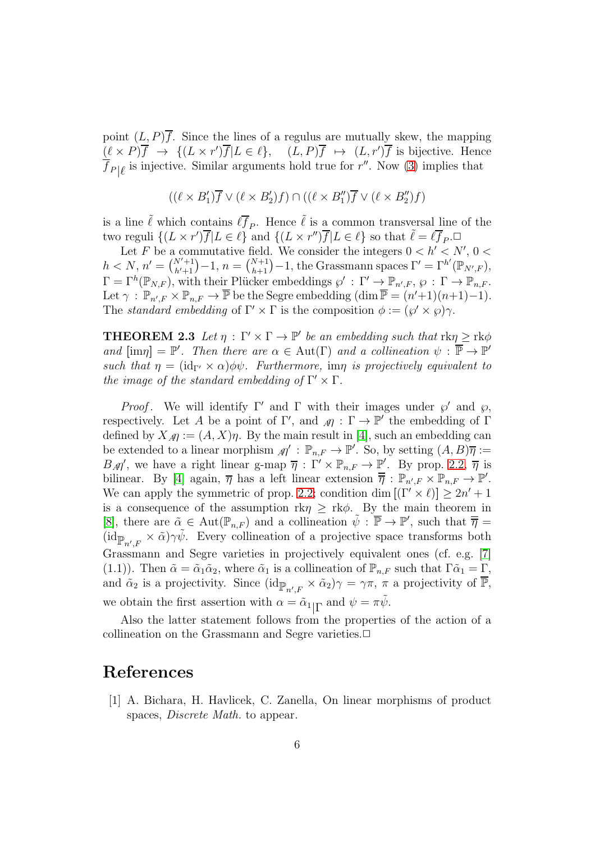point  $(L, P)\overline{f}$ . Since the lines of a regulus are mutually skew, the mapping  $(\ell \times P)\overline{f} \rightarrow \{(L \times r')\overline{f} | L \in \ell\}, \quad (L, P)\overline{f} \mapsto (L, r')\overline{f}$  is bijective. Hence  $\overline{f}_{P|\ell}$  is injective. Similar arguments hold true for  $r''$ . Now [\(3\)](#page-4-0) implies that

$$
((\ell \times B'_1) \overline{f} \vee (\ell \times B'_2) f) \cap ((\ell \times B''_1) \overline{f} \vee (\ell \times B''_2) f)
$$

is a line  $\tilde{\ell}$  which contains  $\ell \bar{f}_P$ . Hence  $\tilde{\ell}$  is a common transversal line of the two reguli  $\{(L \times r')\overline{f} | L \in \ell\}$  and  $\{(L \times r'')\overline{f} | L \in \ell\}$  so that  $\tilde{\ell} = \ell \overline{f}_P$ .

Let F be a commutative field. We consider the integers  $0 < h' < N'$ ,  $0 <$  $h < N, n' = {N'+1 \choose h'+1} - 1, n = {N+1 \choose h+1} - 1$ , the Grassmann spaces  $\Gamma' = \Gamma^{h'}(\mathbb{P}_{N',F}),$  $\Gamma = \Gamma^h(\mathbb{P}_{N,F}),$  with their Plücker embeddings  $\wp' : \Gamma' \to \mathbb{P}_{n',F}, \, \wp : \Gamma \to \mathbb{P}_{n,F}.$ Let  $\gamma : \mathbb{P}_{n',F} \times \mathbb{P}_{n,F} \to \overline{\mathbb{P}}$  be the Segre embedding  $(\dim \overline{\mathbb{P}} = (n'+1)(n+1)-1)$ . The standard embedding of  $\Gamma' \times \Gamma$  is the composition  $\phi := (\wp' \times \wp) \gamma$ .

**THEOREM 2.3** Let  $\eta : \Gamma' \times \Gamma \to \mathbb{P}'$  be an embedding such that  $\text{rk}\eta \geq \text{rk}\phi$ and  $[\text{im}\eta] = \mathbb{P}'$ . Then there are  $\alpha \in \text{Aut}(\Gamma)$  and a collineation  $\psi : \overline{\mathbb{P}} \to \mathbb{P}'$ such that  $\eta = (\mathrm{id}_{\Gamma'} \times \alpha) \phi \psi$ . Furthermore, im $\eta$  is projectively equivalent to the image of the standard embedding of  $\Gamma' \times \Gamma$ .

*Proof.* We will identify  $\Gamma'$  and  $\Gamma$  with their images under  $\wp'$  and  $\wp$ , respectively. Let A be a point of  $\Gamma'$ , and  $\mathcal{M}$  :  $\Gamma \to \mathbb{P}'$  the embedding of  $\Gamma$ defined by  $X_{\mathcal{A}} := (A, X)\eta$ . By the main result in [\[4\]](#page-6-0), such an embedding can be extended to a linear morphism  $\mathcal{M}' : \mathbb{P}_{n,F} \to \mathbb{P}'$ . So, by setting  $(A, B)\overline{\eta} :=$  $B_{\rm A}\eta'$ , we have a right linear g-map  $\overline{\eta}$  :  $\Gamma' \times \mathbb{P}_{n,F} \to \mathbb{P}'$ . By prop. [2.2,](#page-3-2)  $\overline{\eta}$  is bilinear. By [\[4\]](#page-6-0) again,  $\overline{\eta}$  has a left linear extension  $\overline{\overline{\eta}}$  :  $\mathbb{P}_{n',F} \times \mathbb{P}_{n,F} \to \mathbb{P}'$ . We can apply the symmetric of prop. [2.2;](#page-3-2) condition dim  $[(\Gamma' \times \ell)] \geq 2n' + 1$ is a consequence of the assumption rk $\eta \geq r k \phi$ . By the main theorem in [\[8\]](#page-6-1), there are  $\tilde{\alpha} \in \text{Aut}(\mathbb{P}_{n,F})$  and a collineation  $\tilde{\psi} : \overline{\mathbb{P}} \to \mathbb{P}'$ , such that  $\overline{\overline{\eta}} =$  $(\mathrm{id}_{\mathbb{P}_{n',F}} \times \tilde{\alpha})\gamma\tilde{\psi}$ . Every collineation of a projective space transforms both Grassmann and Segre varieties in projectively equivalent ones (cf. e.g. [\[7\]](#page-6-5) (1.1)). Then  $\tilde{\alpha} = \tilde{\alpha}_1 \tilde{\alpha}_2$ , where  $\tilde{\alpha}_1$  is a collineation of  $\mathbb{P}_{n,F}$  such that  $\Gamma \tilde{\alpha}_1 = \Gamma$ , and  $\tilde{\alpha}_2$  is a projectivity. Since  $(\mathrm{id}_{\mathbb{P}_{n',F}} \times \tilde{\alpha}_2)\gamma = \gamma \pi$ ,  $\pi$  a projectivity of  $\overline{\mathbb{P}}$ , we obtain the first assertion with  $\alpha = \tilde{\alpha}_{1} \vert \Gamma$  and  $\psi = \pi \tilde{\psi}$ .

Also the latter statement follows from the properties of the action of a collineation on the Grassmann and Segre varieties.

## References

[1] A. Bichara, H. Havlicek, C. Zanella, On linear morphisms of product spaces, Discrete Math. to appear.